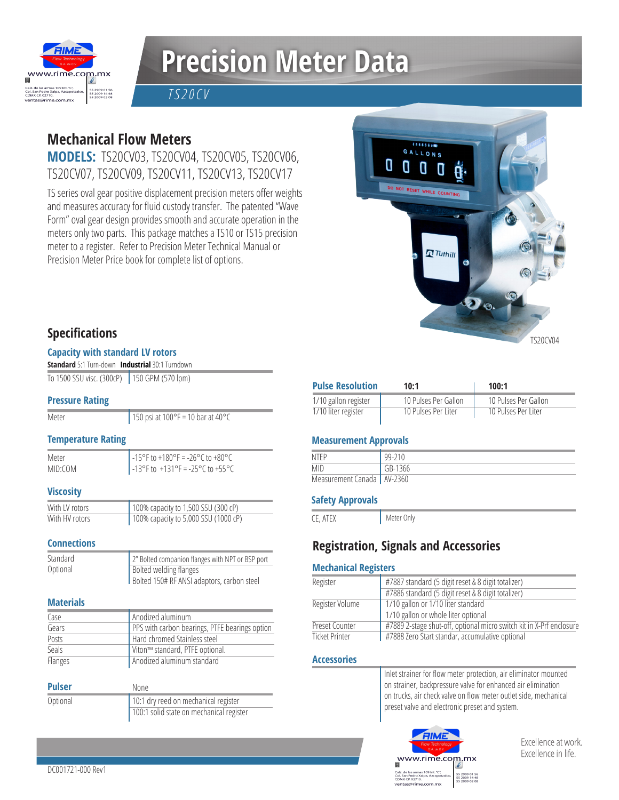

# **Precision Meter Data**

*TS20CV*

## **Mechanical Flow Meters**

**MODELS:** TS20CV03, TS20CV04, TS20CV05, TS20CV06, TS20CV07, TS20CV09, TS20CV11, TS20CV13, TS20CV17

TS series oval gear positive displacement precision meters offer weights and measures accuracy for fluid custody transfer. The patented "Wave Form" oval gear design provides smooth and accurate operation in the meters only two parts. This package matches a TS10 or TS15 precision meter to a register. Refer to Precision Meter Technical Manual or Precision Meter Price book for complete list of options.



### **Specifications**

#### **Capacity with standard LV rotors**

| <b>Standard</b> 5:1 Turn-down Industrial 30:1 Turndown |  |
|--------------------------------------------------------|--|
| To 1500 SSU visc. (300cP) 150 GPM (570 lpm)            |  |

#### **Pressure Rating**

**Meter** 

150 psi at  $100^{\circ}$ F = 10 bar at  $40^{\circ}$ C

#### **Temperature Rating**

Meter MID:COM  $-15^{\circ}$ F to  $+180^{\circ}$ F =  $-26^{\circ}$ C to  $+80^{\circ}$ C  $-13^{\circ}$ F to  $+131^{\circ}$ F =  $-25^{\circ}$ C to  $+55^{\circ}$ C

#### **Viscosity**

With LV rotors With HV rotors 100% capacity to 1,500 SSU (300 cP) 100% capacity to 5,000 SSU (1000 cP)

#### **Connections**

| Standard | 2" Bolted companion flanges with NPT or BSP port |
|----------|--------------------------------------------------|
| Optional | Bolted welding flanges                           |
|          | Bolted 150# RF ANSI adaptors, carbon steel       |

#### **Materials**

| Case         | Anodized aluminum                              |
|--------------|------------------------------------------------|
| Gears        | PPS with carbon bearings, PTFE bearings option |
| Posts        | Hard chromed Stainless steel                   |
| <b>Seals</b> | Viton™ standard, PTFE optional.                |
| Flanges      | Anodized aluminum standard                     |

| <b>Pulser</b> | None                                     |
|---------------|------------------------------------------|
| Optional      | 10:1 dry reed on mechanical register     |
|               | 100:1 solid state on mechanical register |

| <b>Pulse Resolution</b> | 10:1                 | 100:1                |
|-------------------------|----------------------|----------------------|
| 1/10 gallon register    | 10 Pulses Per Gallon | 10 Pulses Per Gallon |
| 1/10 liter register     | 10 Pulses Per Liter  | 10 Pulses Per Liter  |

#### **Measurement Approvals**

| NTFP                         | 99-210  |
|------------------------------|---------|
| <b>MID</b>                   | GB-1366 |
| Measurement Canada   AV-2360 |         |

#### **Safety Approvals**

CE, ATEX

## **Registration, Signals and Accessories**

Meter Only

#### **Mechanical Registers**

| Register              | #7887 standard (5 digit reset & 8 digit totalizer)                   |
|-----------------------|----------------------------------------------------------------------|
|                       | #7886 standard (5 digit reset & 8 digit totalizer)                   |
| Register Volume       | 1/10 gallon or 1/10 liter standard                                   |
|                       | 1/10 gallon or whole liter optional                                  |
| Preset Counter        | #7889 2-stage shut-off, optional micro switch kit in X-Prf enclosure |
| <b>Ticket Printer</b> | #7888 Zero Start standar, accumulative optional                      |

#### **Accessories**

| Inlet strainer for flow meter protection, air eliminator mounted |
|------------------------------------------------------------------|
| on strainer, backpressure valve for enhanced air elimination     |
| on trucks, air check valve on flow meter outlet side, mechanical |
| preset valve and electronic preset and system.                   |
|                                                                  |



Excellence at work. Excellence in life.